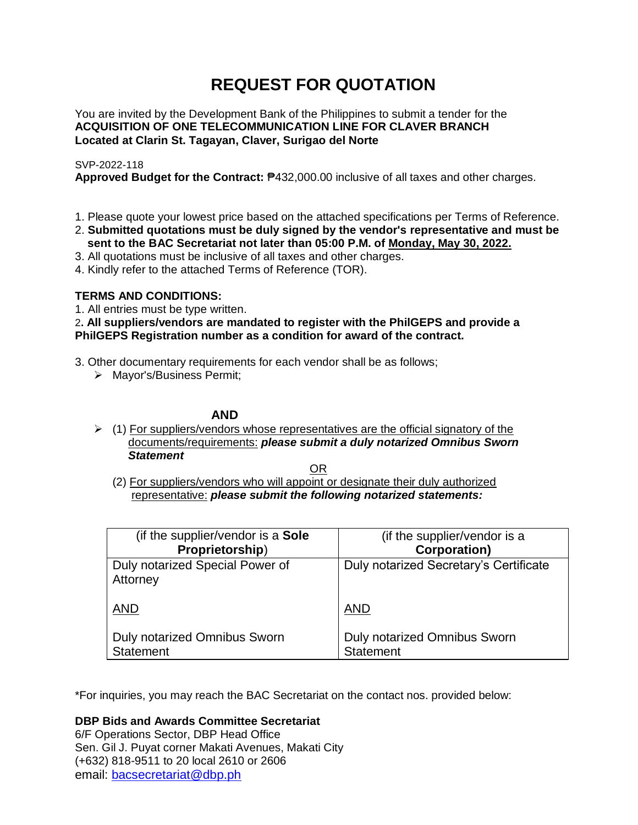# **REQUEST FOR QUOTATION**

You are invited by the Development Bank of the Philippines to submit a tender for the **ACQUISITION OF ONE TELECOMMUNICATION LINE FOR CLAVER BRANCH Located at Clarin St. Tagayan, Claver, Surigao del Norte**

# SVP-2022-118

**Approved Budget for the Contract:** ₱432,000.00 inclusive of all taxes and other charges.

- 1. Please quote your lowest price based on the attached specifications per Terms of Reference.
- 2. **Submitted quotations must be duly signed by the vendor's representative and must be sent to the BAC Secretariat not later than 05:00 P.M. of Monday, May 30, 2022.**
- 3. All quotations must be inclusive of all taxes and other charges.
- 4. Kindly refer to the attached Terms of Reference (TOR).

# **TERMS AND CONDITIONS:**

1. All entries must be type written.

2**. All suppliers/vendors are mandated to register with the PhilGEPS and provide a PhilGEPS Registration number as a condition for award of the contract.**

- 3. Other documentary requirements for each vendor shall be as follows;
	- > Mayor's/Business Permit;

# **AND**

 $\geq$  (1) For suppliers/vendors whose representatives are the official signatory of the documents/requirements: *please submit a duly notarized Omnibus Sworn Statement*

<u>OR Starting and the Starting OR Starting</u>

(2) For suppliers/vendors who will appoint or designate their duly authorized representative: *please submit the following notarized statements:*

| (if the supplier/vendor is a Sole                | (if the supplier/vendor is a                     |
|--------------------------------------------------|--------------------------------------------------|
| Proprietorship)                                  | <b>Corporation)</b>                              |
| Duly notarized Special Power of<br>Attorney      | Duly notarized Secretary's Certificate           |
| <b>AND</b>                                       | <b>AND</b>                                       |
| Duly notarized Omnibus Sworn<br><b>Statement</b> | Duly notarized Omnibus Sworn<br><b>Statement</b> |

\*For inquiries, you may reach the BAC Secretariat on the contact nos. provided below:

**DBP Bids and Awards Committee Secretariat** 

6/F Operations Sector, DBP Head Office Sen. Gil J. Puyat corner Makati Avenues, Makati City (+632) 818-9511 to 20 local 2610 or 2606 email: [bacsecretariat@dbp.ph](mailto:bacsecretariat@dbp.ph)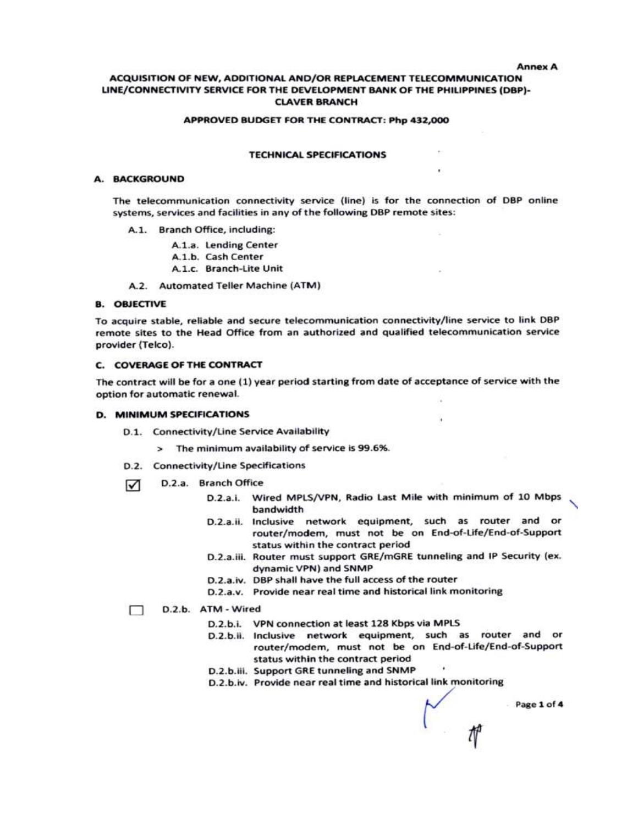#### **Annex A**

### ACQUISITION OF NEW, ADDITIONAL AND/OR REPLACEMENT TELECOMMUNICATION LINE/CONNECTIVITY SERVICE FOR THE DEVELOPMENT BANK OF THE PHILIPPINES (DBP)-**CLAVER BRANCH**

#### APPROVED BUDGET FOR THE CONTRACT: Php 432,000

#### **TECHNICAL SPECIFICATIONS**

#### A. BACKGROUND

The telecommunication connectivity service (line) is for the connection of DBP online systems, services and facilities in any of the following DBP remote sites:

A.1. Branch Office, including:

A.1.a. Lending Center

- A.1.b. Cash Center
- A.1.c. Branch-Lite Unit

A.2. Automated Teller Machine (ATM)

#### **B. OBJECTIVE**

To acquire stable, reliable and secure telecommunication connectivity/line service to link DBP remote sites to the Head Office from an authorized and qualified telecommunication service provider (Telco).

#### **C. COVERAGE OF THE CONTRACT**

The contract will be for a one (1) year period starting from date of acceptance of service with the option for automatic renewal.

#### **D. MINIMUM SPECIFICATIONS**

- D.1. Connectivity/Line Service Availability
	- > The minimum availability of service is 99.6%.
- D.2. Connectivity/Line Specifications
- D.2.a. Branch Office ☑
	- D.2.a.i. Wired MPLS/VPN, Radio Last Mile with minimum of 10 Mbps bandwidth

×.

- D.2.a.ii. Inclusive network equipment, such as router and or router/modem, must not be on End-of-Life/End-of-Support status within the contract period
- D.2.a.iii. Router must support GRE/mGRE tunneling and IP Security (ex. dynamic VPN) and SNMP
- D.2.a.iv. DBP shall have the full access of the router
- D.2.a.v. Provide near real time and historical link monitoring

#### D.2.b. ATM - Wired □

- D.2.b.i. VPN connection at least 128 Kbps via MPLS
- D.2.b.ii. Inclusive network equipment, such as router and or router/modem, must not be on End-of-Life/End-of-Support status within the contract period
- D.2.b.iii. Support GRE tunneling and SNMP
- D.2.b.iv. Provide near real time and historical link monitoring

Page 1 of 4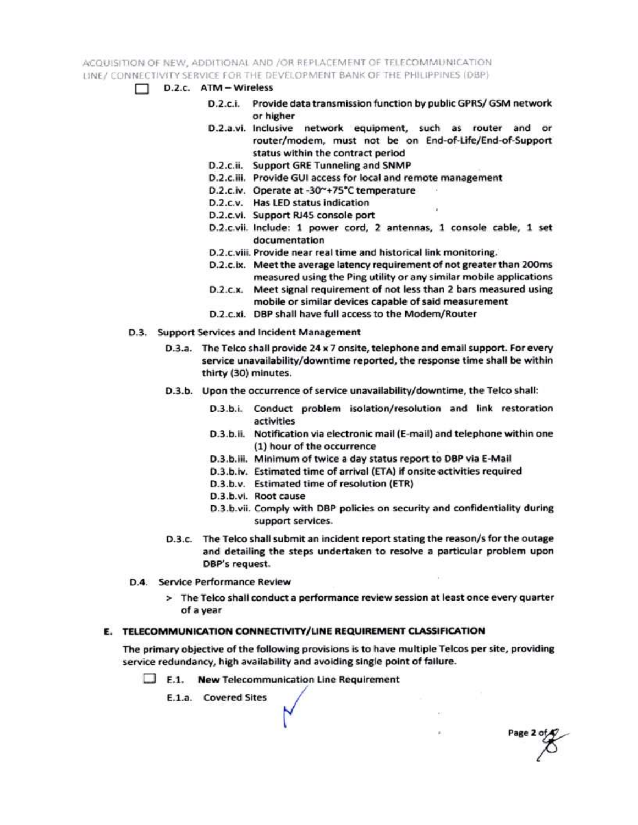ACQUISITION OF NEW, ADDITIONAL AND /OR REPLACEMENT OF TELECOMMUNICATION LINE / CONNECTIVITY SERVICE FOR THE DEVELOPMENT BANK OF THE PHILIPPINES (DBP)

- $\Box$  D.2.c.  $ATM Wireless$ 
	- D.2.c.i. Provide data transmission function by public GPRS/ GSM network or higher
	- D.2.a.vi. Inclusive network equipment, such as router and or router/modem, must not be on End-of-Life/End-of-Support status within the contract period
	- D.2.c.ii. Support GRE Tunneling and SNMP
	- D.2.c.iii. Provide GUI access for local and remote management
	- D.2.c.iv. Operate at -30~+75°C temperature
	- D.2.c.v. Has LED status indication
	- D.2.c.vi. Support RJ45 console port
	- D.2.c.vii. Include: 1 power cord, 2 antennas, 1 console cable, 1 set documentation
	- D.2.c.viii. Provide near real time and historical link monitoring.
	- D.2.c.ix. Meet the average latency requirement of not greater than 200ms measured using the Ping utility or any similar mobile applications
	- D.2.c.x. Meet signal requirement of not less than 2 bars measured using mobile or similar devices capable of said measurement
	- D.2.c.xi. DBP shall have full access to the Modem/Router
- D.3. Support Services and Incident Management
	- D.3.a. The Telco shall provide 24 x 7 onsite, telephone and email support. For every service unavailability/downtime reported, the response time shall be within thirty (30) minutes.
	- D.3.b. Upon the occurrence of service unavailability/downtime, the Telco shall:
		- D.3.b.i. Conduct problem isolation/resolution and link restoration activities
		- D.3.b.ii. Notification via electronic mail (E-mail) and telephone within one (1) hour of the occurrence
		- D.3.b.iii. Minimum of twice a day status report to DBP via E-Mail
		- D.3.b.iv. Estimated time of arrival (ETA) if onsite activities required
		- D.3.b.v. Estimated time of resolution (ETR)
		- D.3.b.vi. Root cause
		- D.3.b.vii. Comply with DBP policies on security and confidentiality during support services.

Page 2 of

- D.3.c. The Telco shall submit an incident report stating the reason/s for the outage and detailing the steps undertaken to resolve a particular problem upon DBP's request.
- D.4. Service Performance Review
	- > The Telco shall conduct a performance review session at least once every quarter of a year

## E. TELECOMMUNICATION CONNECTIVITY/LINE REQUIREMENT CLASSIFICATION

The primary objective of the following provisions is to have multiple Telcos per site, providing service redundancy, high availability and avoiding single point of failure.

 $\Box$  E.1. New Telecommunication Line Requirement

E.1.a. Covered Sites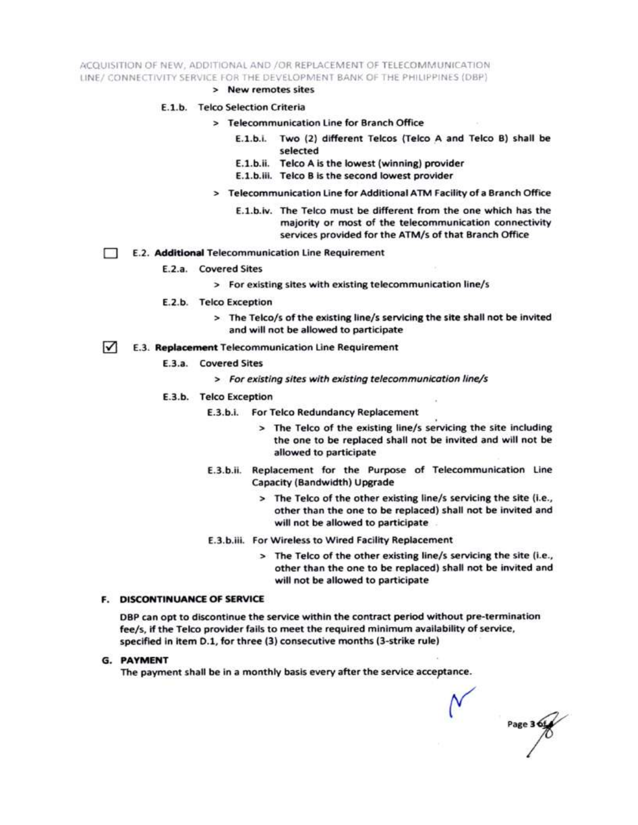ACQUISITION OF NEW, ADDITIONAL AND /OR REPLACEMENT OF TELECOMMUNICATION LINE/ CONNECTIVITY SERVICE FOR THE DEVELOPMENT BANK OF THE PHILIPPINES (DBP)

> New remotes sites

#### E.1.b. Telco Selection Criteria

- > Telecommunication Line for Branch Office
	- E.1.b.i. Two (2) different Telcos (Telco A and Telco B) shall be selected
	- E.1.b.ii. Telco A is the lowest (winning) provider
	- E.1.b.iii. Telco B is the second lowest provider
- > Telecommunication Line for Additional ATM Facility of a Branch Office
	- E.1.b.iv. The Telco must be different from the one which has the majority or most of the telecommunication connectivity services provided for the ATM/s of that Branch Office
- E.2. Additional Telecommunication Line Requirement Ð
	- E.2.a. Covered Sites
		- > For existing sites with existing telecommunication line/s
	- E.2.b. Telco Exception
		- > The Telco/s of the existing line/s servicing the site shall not be invited and will not be allowed to participate
- $\sqrt{ }$ E.3. Replacement Telecommunication Line Requirement
	- E.3.a. Covered Sites
		- > For existing sites with existing telecommunication line/s
	- E.3.b. Telco Exception
		- E.3.b.i. For Telco Redundancy Replacement
			- > The Telco of the existing line/s servicing the site including the one to be replaced shall not be invited and will not be allowed to participate
		- E.3.b.ii. Replacement for the Purpose of Telecommunication Line Capacity (Bandwidth) Upgrade
			- > The Telco of the other existing line/s servicing the site (i.e., other than the one to be replaced) shall not be invited and will not be allowed to participate
		- E.3.b.iii. For Wireless to Wired Facility Replacement
			- > The Telco of the other existing line/s servicing the site (i.e., other than the one to be replaced) shall not be invited and will not be allowed to participate

#### **F. DISCONTINUANCE OF SERVICE**

DBP can opt to discontinue the service within the contract period without pre-termination fee/s, if the Telco provider fails to meet the required minimum availability of service, specified in item D.1, for three (3) consecutive months (3-strike rule)

**G. PAYMENT** 

The payment shall be in a monthly basis every after the service acceptance.

Page 3 6t